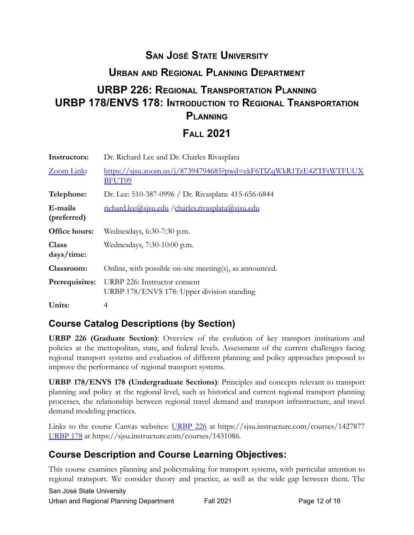## **SAN JOSÉ STATE UNIVERSITY**

### **URBAN AND REGIONAL PLANNING DEPARTMENT**

# **URBP 226: REGIONAL TRANSPORTATION PLANNING URBP 178/ENVS 178: INTRODUCTION TO REGIONAL TRANSPORTATION PLANNING**

### **FALL 2021**

| Instructors:               | Dr. Richard Lee and Dr. Charles Rivasplata                                         |
|----------------------------|------------------------------------------------------------------------------------|
| Zoom Link:                 | https://sjsu.zoom.us/j/87394794685?pwd=ekF6TlZqWkR1TzE4ZTFtWTFUUX<br><b>BFUT09</b> |
| Telephone:                 | Dr. Lee: 510-387-0996 / Dr. Rivasplata: 415-656-6844                               |
| E-mails<br>(preferred)     | richard.lee@sjsu.edu /charles.rivasplata@sjsu.edu                                  |
| Office hours:              | Wednesdays, 6:30-7:30 p.m.                                                         |
| <b>Class</b><br>days/time: | Wednesdays, 7:30-10:00 p.m.                                                        |
| Classroom:                 | Online, with possible on-site meeting(s), as announced.                            |
| Prerequisites:             | URBP 226: Instructor consent<br>URBP 178/ENVS 178: Upper division standing         |
| Units:                     | 4                                                                                  |

#### **Course Catalog Descriptions (by Section)**

**URBP 226 (Graduate Section)**: Overview of the evolution of key transport institutions and policies at the metropolitan, state, and federal levels. Assessment of the current challenges facing regional transport systems and evaluation of different planning and policy approaches proposed to improve the performance of regional transport systems.

**URBP 178/ENVS 178 (Undergraduate Sections)**: Principles and concepts relevant to transport planning and policy at the regional level, such as historical and current regional transport planning processes, the relationship between regional travel demand and transport infrastructure, and travel demand modeling practices.

Links to the course Canvas websites: [URBP](https://sjsu.instructure.com/courses/1427877) 226 at <https://sjsu.instructure.com/courses/1427877> [URBP 178](https://sjsu.instructure.com/courses/1431086) at [https://sjsu.instructure.com/courses/1431086.](https://sjsu.instructure.com/courses/1431086)

### **Course Description and Course Learning Objectives:**

This course examines planning and policymaking for transport systems, with particular attention to regional transport. We consider theory and practice, as well as the wide gap between them. The

 San José State University Urban and Regional Planning Department Fall 2021 **Page 12 of 16**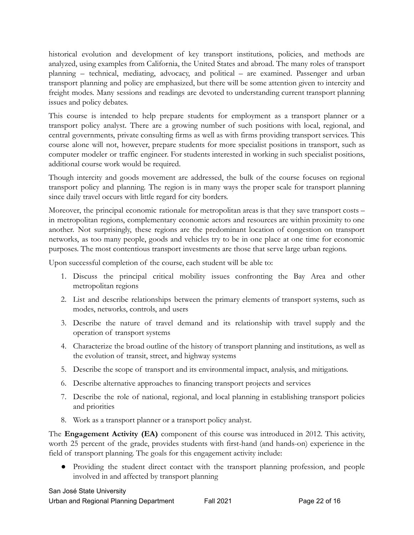historical evolution and development of key transport institutions, policies, and methods are analyzed, using examples from California, the United States and abroad. The many roles of transport planning – technical, mediating, advocacy, and political – are examined. Passenger and urban transport planning and policy are emphasized, but there will be some attention given to intercity and freight modes. Many sessions and readings are devoted to understanding current transport planning issues and policy debates.

This course is intended to help prepare students for employment as a transport planner or a transport policy analyst. There are a growing number of such positions with local, regional, and central governments, private consulting firms as well as with firms providing transport services. This course alone will not, however, prepare students for more specialist positions in transport, such as computer modeler or traffic engineer. For students interested in working in such specialist positions, additional course work would be required.

Though intercity and goods movement are addressed, the bulk of the course focuses on regional transport policy and planning. The region is in many ways the proper scale for transport planning since daily travel occurs with little regard for city borders.

Moreover, the principal economic rationale for metropolitan areas is that they save transport costs – in metropolitan regions, complementary economic actors and resources are within proximity to one another. Not surprisingly, these regions are the predominant location of congestion on transport networks, as too many people, goods and vehicles try to be in one place at one time for economic purposes. The most contentious transport investments are those that serve large urban regions.

Upon successful completion of the course, each student will be able to:

- 1. Discuss the principal critical mobility issues confronting the Bay Area and other metropolitan regions
- 2. List and describe relationships between the primary elements of transport systems, such as modes, networks, controls, and users
- 3. Describe the nature of travel demand and its relationship with travel supply and the operation of transport systems
- 4. Characterize the broad outline of the history of transport planning and institutions, as well as the evolution of transit, street, and highway systems
- 5. Describe the scope of transport and its environmental impact, analysis, and mitigations.
- 6. Describe alternative approaches to financing transport projects and services
- 7. Describe the role of national, regional, and local planning in establishing transport policies and priorities
- 8. Work as a transport planner or a transport policy analyst.

The **Engagement Activity (EA)** component of this course was introduced in 2012. This activity, worth 25 percent of the grade, provides students with first-hand (and hands-on) experience in the field of transport planning. The goals for this engagement activity include:

● Providing the student direct contact with the transport planning profession, and people involved in and affected by transport planning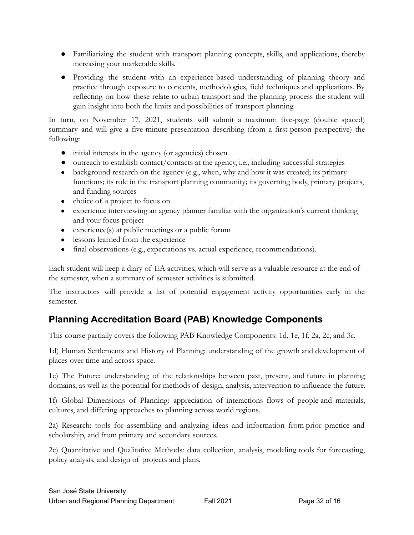- Familiarizing the student with transport planning concepts, skills, and applications, thereby increasing your marketable skills.
- Providing the student with an experience-based understanding of planning theory and practice through exposure to concepts, methodologies, field techniques and applications. By reflecting on how these relate to urban transport and the planning process the student will gain insight into both the limits and possibilities of transport planning.

In turn, on November 17, 2021, students will submit a maximum five-page (double spaced) summary and will give a five-minute presentation describing (from a first-person perspective) the following:

- initial interests in the agency (or agencies) chosen
- $\bullet$  outreach to establish contact/contacts at the agency, i.e., including successful strategies
- background research on the agency (e.g., when, why and how it was created; its primary functions; its role in the transport planning community; its governing body, primary projects, and funding sources
- choice of a project to focus on
- experience interviewing an agency planner familiar with the organization's current thinking and your focus project
- experience(s) at public meetings or a public forum
- lessons learned from the experience
- final observations (e.g., expectations vs. actual experience, recommendations).

Each student will keep a diary of EA activities, which will serve as a valuable resource at the end of the semester, when a summary of semester activities is submitted.

The instructors will provide a list of potential engagement activity opportunities early in the semester.

## **Planning Accreditation Board (PAB) Knowledge Components**

This course partially covers the following PAB Knowledge Components: 1d, 1e, 1f, 2a, 2c, and 3c.

1d) Human Settlements and History of Planning: understanding of the growth and development of places over time and across space.

1e) The Future: understanding of the relationships between past, present, and future in planning domains, as well as the potential for methods of design, analysis, intervention to influence the future.

1f) Global Dimensions of Planning: appreciation of interactions flows of people and materials, cultures, and differing approaches to planning across world regions.

2a) Research: tools for assembling and analyzing ideas and information from prior practice and scholarship, and from primary and secondary sources.

2c) Quantitative and Qualitative Methods: data collection, analysis, modeling tools for forecasting, policy analysis, and design of projects and plans.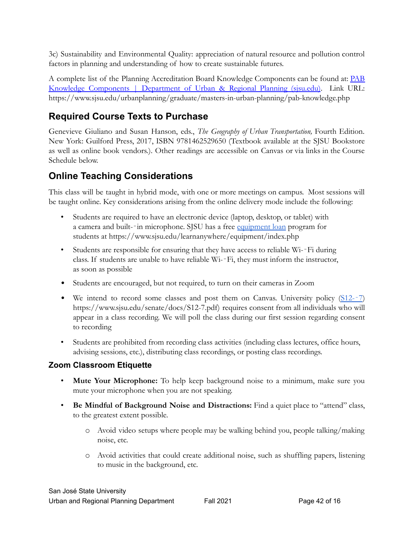3c) Sustainability and Environmental Quality: appreciation of natural resource and pollution control factors in planning and understanding of how to create sustainable futures.

A complete list of the Planning Accreditation Board Knowledge Components can be found at: [PAB](https://www.sjsu.edu/urbanplanning/graduate/masters-in-urban-planning/pab-knowledge.php) Knowledge [Components](https://www.sjsu.edu/urbanplanning/graduate/masters-in-urban-planning/pab-knowledge.php) | Department of Urban & Regional Planning (sjsu.edu). Link URL: <https://www.sjsu.edu/urbanplanning/graduate/masters-in-urban-planning/pab-knowledge.php>

### **Required Course Texts to Purchase**

Genevieve Giuliano and Susan Hanson, eds., *The Geography of Urban Transportation,* Fourth Edition. New York: Guilford Press, 2017, ISBN 9781462529650 (Textbook available at the SJSU Bookstore as well as online book vendors.). Other readings are accessible on Canvas or via links in the Course Schedule below.

### **Online Teaching Considerations**

This class will be taught in hybrid mode, with one or more meetings on campus. Most sessions will be taught online. Key considerations arising from the online delivery mode include the following:

- Students are required to have an electronic device (laptop, desktop, or tablet) with a camera and built--in microphone. SJSU has a free [equipment loan](https://www.sjsu.edu/learnanywhere/equipment/index.php) program for students at<https://www.sjsu.edu/learnanywhere/equipment/index.php>
- Students are responsible for ensuring that they have access to reliable Wi--Fi during class. If students are unable to have reliable Wi-‐Fi, they must inform the instructor, as soon as possible
- Students are encouraged, but not required, to turn on their cameras in Zoom
- We intend to record some classes and post them on Canvas. University policy [\(S12-](https://www.sjsu.edu/senate/docs/S12-7.pdf)-7) [https://www.sjsu.edu/senate/docs/S12-7.pdf\)](https://www.sjsu.edu/senate/docs/S12-7.pdf) requires consent from all individuals who will appear in a class recording. We will poll the class during our first session regarding consent to recording
- Students are prohibited from recording class activities (including class lectures, office hours, advising sessions, etc.), distributing class recordings, or posting class recordings.

#### **Zoom Classroom Etiquette**

- **Mute Your Microphone:** To help keep background noise to a minimum, make sure you mute your microphone when you are not speaking.
- **Be Mindful of Background Noise and Distractions:** Find a quiet place to "attend" class, to the greatest extent possible.
	- o Avoid video setups where people may be walking behind you, people talking/making noise, etc.
	- o Avoid activities that could create additional noise, such as shuffling papers, listening to music in the background, etc.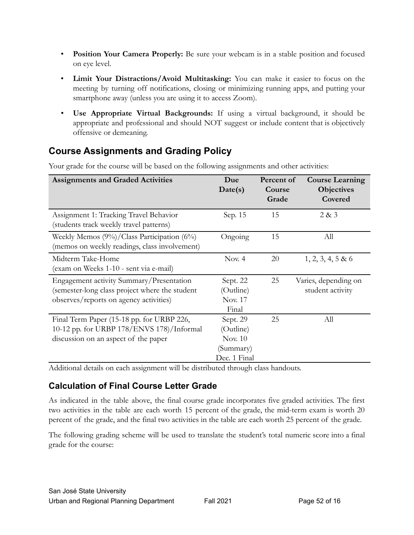- **Position Your Camera Properly:** Be sure your webcam is in a stable position and focused on eye level.
- **Limit Your Distractions/Avoid Multitasking:** You can make it easier to focus on the meeting by turning off notifications, closing or minimizing running apps, and putting your smartphone away (unless you are using it to access Zoom).
- **Use Appropriate Virtual Backgrounds:** If using a virtual background, it should be appropriate and professional and should NOT suggest or include content that is objectively offensive or demeaning.

### **Course Assignments and Grading Policy**

| <b>Assignments and Graded Activities</b>                                                                                             | Due<br>Date(s)                                                       | Percent of<br>Course<br>Grade | <b>Course Learning</b><br><b>Objectives</b><br>Covered |
|--------------------------------------------------------------------------------------------------------------------------------------|----------------------------------------------------------------------|-------------------------------|--------------------------------------------------------|
| Assignment 1: Tracking Travel Behavior<br>(students track weekly travel patterns)                                                    | Sep. 15                                                              | 15                            | 2 & 3                                                  |
| Weekly Memos (9%)/Class Participation (6%)<br>(memos on weekly readings, class involvement)                                          | Ongoing                                                              | 15                            | All                                                    |
| Midterm Take-Home<br>(exam on Weeks 1-10 - sent via e-mail)                                                                          | Nov. $4$                                                             | 20                            | $1, 2, 3, 4, 5 \& 6$                                   |
| Engagement activity Summary/Presentation<br>(semester-long class project where the student<br>observes/reports on agency activities) | Sept. 22<br>(Outline)<br>Nov. 17<br>Final                            | 25                            | Varies, depending on<br>student activity               |
| Final Term Paper (15-18 pp. for URBP 226,<br>10-12 pp. for URBP 178/ENVS 178)/Informal<br>discussion on an aspect of the paper       | Sept. 29<br>(Outline)<br><b>Nov. 10</b><br>(Summary)<br>Dec. 1 Final | 25                            | All                                                    |

Your grade for the course will be based on the following assignments and other activities:

Additional details on each assignment will be distributed through class handouts.

#### **Calculation of Final Course Letter Grade**

As indicated in the table above, the final course grade incorporates five graded activities. The first two activities in the table are each worth 15 percent of the grade, the mid-term exam is worth 20 percent of the grade, and the final two activities in the table are each worth 25 percent of the grade.

The following grading scheme will be used to translate the student's total numeric score into a final grade for the course: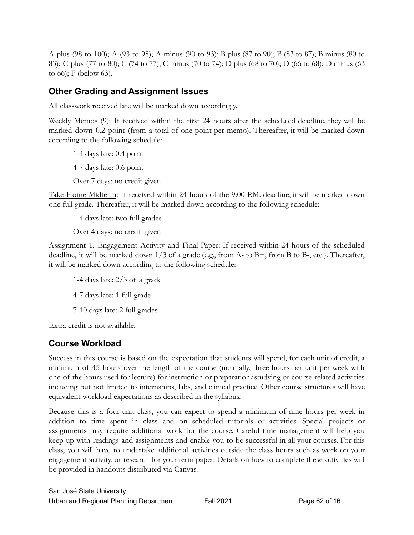A plus (98 to 100); A (93 to 98); A minus (90 to 93); B plus (87 to 90); B (83 to 87); B minus (80 to 83); C plus (77 to 80); C (74 to 77); C minus (70 to 74); D plus (68 to 70); D (66 to 68); D minus (63 to 66); F (below 63).

#### **Other Grading and Assignment Issues**

All classwork received late will be marked down accordingly.

Weekly Memos (9): If received within the first 24 hours after the scheduled deadline, they will be marked down 0.2 point (from a total of one point per memo). Thereafter, it will be marked down according to the following schedule:

1-4 days late: 0.4 point

4-7 days late: 0.6 point

Over 7 days: no credit given

Take-Home Midterm: If received within 24 hours of the 9:00 P.M. deadline, it will be marked down one full grade. Thereafter, it will be marked down according to the following schedule:

1-4 days late: two full grades

Over 4 days: no credit given

Assignment 1, Engagement Activity and Final Paper: If received within 24 hours of the scheduled deadline, it will be marked down 1/3 of a grade (e.g., from A- to B+, from B to B-, etc.). Thereafter, it will be marked down according to the following schedule:

1-4 days late: 2/3 of a grade

4-7 days late: 1 full grade

7-10 days late: 2 full grades

Extra credit is not available.

#### **Course Workload**

Success in this course is based on the expectation that students will spend, for each unit of credit, a minimum of 45 hours over the length of the course (normally, three hours per unit per week with one of the hours used for lecture) for instruction or preparation/studying or course-related activities including but not limited to internships, labs, and clinical practice. Other course structures will have equivalent workload expectations as described in the syllabus.

Because this is a four-unit class, you can expect to spend a minimum of nine hours per week in addition to time spent in class and on scheduled tutorials or activities. Special projects or assignments may require additional work for the course. Careful time management will help you keep up with readings and assignments and enable you to be successful in all your courses. For this class, you will have to undertake additional activities outside the class hours such as work on your engagement activity, or research for your term paper. Details on how to complete these activities will be provided in handouts distributed via Canvas.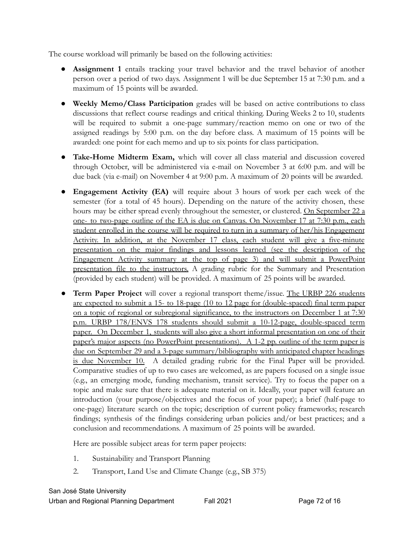The course workload will primarily be based on the following activities:

- **Assignment 1** entails tracking your travel behavior and the travel behavior of another person over a period of two days. Assignment 1 will be due September 15 at 7:30 p.m. and a maximum of 15 points will be awarded.
- **Weekly Memo/Class Participation** grades will be based on active contributions to class discussions that reflect course readings and critical thinking. During Weeks 2 to 10, students will be required to submit a one-page summary/reaction memo on one or two of the assigned readings by 5:00 p.m. on the day before class. A maximum of 15 points will be awarded: one point for each memo and up to six points for class participation.
- **Take-Home Midterm Exam,** which will cover all class material and discussion covered through October, will be administered via e-mail on November 3 at 6:00 p.m. and will be due back (via e-mail) on November 4 at 9:00 p.m. A maximum of 20 points will be awarded.
- **Engagement Activity (EA)** will require about 3 hours of work per each week of the semester (for a total of 45 hours). Depending on the nature of the activity chosen, these hours may be either spread evenly throughout the semester, or clustered. On September 22 a one- to two-page outline of the EA is due on Canvas. On November 17 at 7:30 p.m., each student enrolled in the course will be required to turn in a summary of her/his Engagement Activity. In addition, at the November 17 class, each student will give a five-minute presentation on the major findings and lessons learned (see the description of the Engagement Activity summary at the top of page 3) and will submit a PowerPoint presentation file to the instructors. A grading rubric for the Summary and Presentation (provided by each student) will be provided. A maximum of 25 points will be awarded.
- **Term Paper Project** will cover a regional transport theme/issue. The URBP 226 students are expected to submit a 15- to 18-page (10 to 12 page for (double-spaced) final term paper on a topic of regional or subregional significance, to the instructors on December 1 at 7:30 p.m. URBP 178/ENVS 178 students should submit a 10-12-page, double-spaced term paper. On December 1, students will also give a short informal presentation on one of their paper's major aspects (no PowerPoint presentations). A 1-2 pp. outline of the term paper is due on September 29 and a 3-page summary/bibliography with anticipated chapter headings is due November 10. A detailed grading rubric for the Final Paper will be provided. Comparative studies of up to two cases are welcomed, as are papers focused on a single issue (e.g., an emerging mode, funding mechanism, transit service). Try to focus the paper on a topic and make sure that there is adequate material on it. Ideally, your paper will feature an introduction (your purpose/objectives and the focus of your paper); a brief (half-page to one-page) literature search on the topic; description of current policy frameworks; research findings; synthesis of the findings considering urban policies and/or best practices; and a conclusion and recommendations. A maximum of 25 points will be awarded.

Here are possible subject areas for term paper projects:

- 1. Sustainability and Transport Planning
- 2. Transport, Land Use and Climate Change (e.g., SB 375)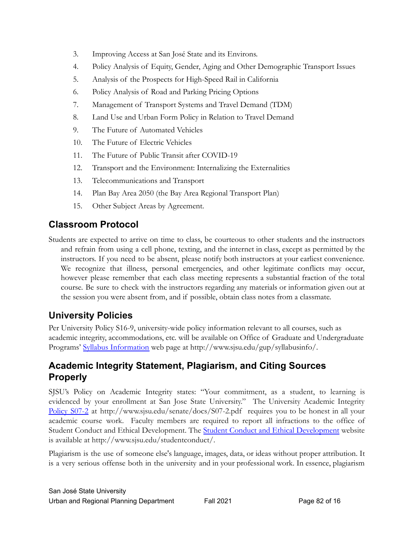- 3. Improving Access at San José State and its Environs.
- 4. Policy Analysis of Equity, Gender, Aging and Other Demographic Transport Issues
- 5. Analysis of the Prospects for High-Speed Rail in California
- 6. Policy Analysis of Road and Parking Pricing Options
- 7. Management of Transport Systems and Travel Demand (TDM)
- 8. Land Use and Urban Form Policy in Relation to Travel Demand
- 9. The Future of Automated Vehicles
- 10. The Future of Electric Vehicles
- 11. The Future of Public Transit after COVID-19
- 12. Transport and the Environment: Internalizing the Externalities
- 13. Telecommunications and Transport
- 14. Plan Bay Area 2050 (the Bay Area Regional Transport Plan)
- 15. Other Subject Areas by Agreement.

#### **Classroom Protocol**

Students are expected to arrive on time to class, be courteous to other students and the instructors and refrain from using a cell phone, texting, and the internet in class, except as permitted by the instructors. If you need to be absent, please notify both instructors at your earliest convenience. We recognize that illness, personal emergencies, and other legitimate conflicts may occur, however please remember that each class meeting represents a substantial fraction of the total course. Be sure to check with the instructors regarding any materials or information given out at the session you were absent from, and if possible, obtain class notes from a classmate.

### **University Policies**

Per University Policy S16-9, university-wide policy information relevant to all courses, such as academic integrity, accommodations, etc. will be available on Office of Graduate and Undergraduate Programs' [Syllabus Information](http://www.sjsu.edu/gup/syllabusinfo/) web page at [http://www.sjsu.edu/gup/syllabusinfo/](http://www.sjsu.edu/gup/syllabusinfo).

### **Academic Integrity Statement, Plagiarism, and Citing Sources Properly**

SJSU's Policy on Academic Integrity states: "Your commitment, as a student, to learning is evidenced by your enrollment at San Jose State University." The [University](http://www.sjsu.edu/senate/docs/S07-2.pdf) Academic Integrity [Policy](http://www.sjsu.edu/senate/docs/S07-2.pdf) S07-2 at <http://www.sjsu.edu/senate/docs/S07-2.pdf> requires you to be honest in all your academic course work. Faculty members are required to report all infractions to the office of Student Conduct and Ethical Development. The Student Conduct and Ethical [Development](http://www.sjsu.edu/studentconduct/) website is available at [http://www.sjsu.edu/studentconduct/](http://www.sjsu.edu/studentconduct).

Plagiarism is the use of someone else's language, images, data, or ideas without proper attribution. It is a very serious offense both in the university and in your professional work. In essence, plagiarism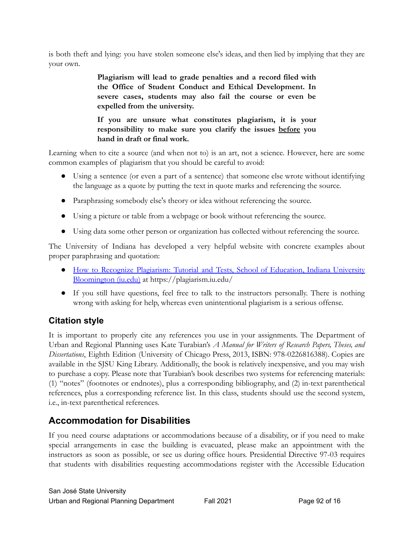is both theft and lying: you have stolen someone else's ideas, and then lied by implying that they are your own.

> **Plagiarism will lead to grade penalties and a record filed with the Office of Student Conduct and Ethical Development. In severe cases, students may also fail the course or even be expelled from the university.**

> **If you are unsure what constitutes plagiarism, it is your responsibility to make sure you clarify the issues before you hand in draft or final work.**

Learning when to cite a source (and when not to) is an art, not a science. However, here are some common examples of plagiarism that you should be careful to avoid:

- Using a sentence (or even a part of a sentence) that someone else wrote without identifying the language as a quote by putting the text in quote marks and referencing the source.
- Paraphrasing somebody else's theory or idea without referencing the source.
- Using a picture or table from a webpage or book without referencing the source.
- Using data some other person or organization has collected without referencing the source.

The University of Indiana has developed a very helpful website with concrete examples about proper paraphrasing and quotation:

- How to Recognize Plagiarism: Tutorial and Tests, School of [Education,](https://plagiarism.iu.edu/) Indiana University [Bloomington \(iu.edu\)](https://plagiarism.iu.edu/) at<https://plagiarism.iu.edu>/
- If you still have questions, feel free to talk to the instructors personally. There is nothing wrong with asking for help, whereas even unintentional plagiarism is a serious offense.

#### **Citation style**

It is important to properly cite any references you use in your assignments. The Department of Urban and Regional Planning uses Kate Turabian's *A Manual for Writers of Research Papers, Theses, and Dissertations*, Eighth Edition (University of Chicago Press, 2013, ISBN: 978-0226816388). Copies are available in the SJSU King Library. Additionally, the book is relatively inexpensive, and you may wish to purchase a copy. Please note that Turabian's book describes two systems for referencing materials: (1) "notes" (footnotes or endnotes), plus a corresponding bibliography, and (2) in-text parenthetical references, plus a corresponding reference list. In this class, students should use the second system, i.e., in-text parenthetical references.

## **Accommodation for Disabilities**

If you need course adaptations or accommodations because of a disability, or if you need to make special arrangements in case the building is evacuated, please make an appointment with the instructors as soon as possible, or see us during office hours. Presidential Directive 97-03 requires that students with disabilities requesting accommodations register with the Accessible Education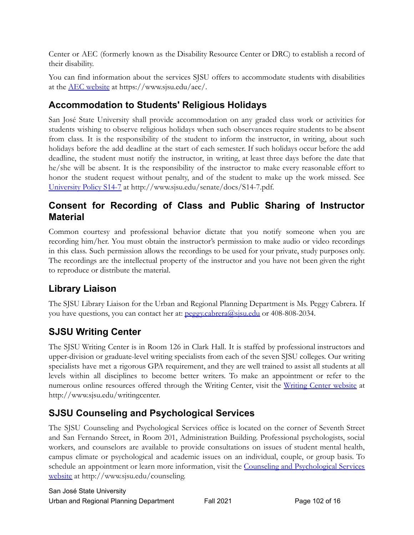Center or AEC (formerly known as the Disability Resource Center or DRC) to establish a record of their disability.

You can find information about the services SJSU offers to accommodate students with disabilities at the [AEC website](https://www.sjsu.edu/aec/) at [https://www.sjsu.edu/aec/](https://www.sjsu.edu/aec).

### **Accommodation to Students' Religious Holidays**

San José State University shall provide accommodation on any graded class work or activities for students wishing to observe religious holidays when such observances require students to be absent from class. It is the responsibility of the student to inform the instructor, in writing, about such holidays before the add deadline at the start of each semester. If such holidays occur before the add deadline, the student must notify the instructor, in writing, at least three days before the date that he/she will be absent. It is the responsibility of the instructor to make every reasonable effort to honor the student request without penalty, and of the student to make up the work missed. See [University Policy S14-7](http://www.sjsu.edu/senate/docs/S14-7.pdf) at [http://www.sjsu.edu/senate/docs/S14-7.pdf.](http://www.sjsu.edu/senate/docs/S14-7.pdf)

#### **Consent for Recording of Class and Public Sharing of Instructor Material**

Common courtesy and professional behavior dictate that you notify someone when you are recording him/her. You must obtain the instructor's permission to make audio or video recordings in this class. Such permission allows the recordings to be used for your private, study purposes only. The recordings are the intellectual property of the instructor and you have not been given the right to reproduce or distribute the material.

## **Library Liaison**

The SJSU Library Liaison for the Urban and Regional Planning Department is Ms. Peggy Cabrera. If you have questions, you can contact her at: peggy.cabrera@sisu.edu or 408-808-2034.

## **SJSU Writing Center**

The SJSU Writing Center is in Room 126 in Clark Hall. It is staffed by professional instructors and upper-division or graduate-level writing specialists from each of the seven SJSU colleges. Our writing specialists have met a rigorous GPA requirement, and they are well trained to assist all students at all levels within all disciplines to become better writers. To make an appointment or refer to the numerous online resources offered through the Writing Center, visit the Writing Center [website](http://www.sjsu.edu/writingcenter) at [http://www.sjsu.edu/writingcenter.](http://www.sjsu.edu/writingcenter)

## **SJSU Counseling and Psychological Services**

The SJSU Counseling and Psychological Services office is located on the corner of Seventh Street and San Fernando Street, in Room 201, Administration Building. Professional psychologists, social workers, and counselors are available to provide consultations on issues of student mental health, campus climate or psychological and academic issues on an individual, couple, or group basis. To schedule an appointment or learn more information, visit the Counseling and [Psychological](http://www.sjsu.edu/counseling) Services [website](http://www.sjsu.edu/counseling) at [http://www.sjsu.edu/counseling.](http://www.sjsu.edu/counseling)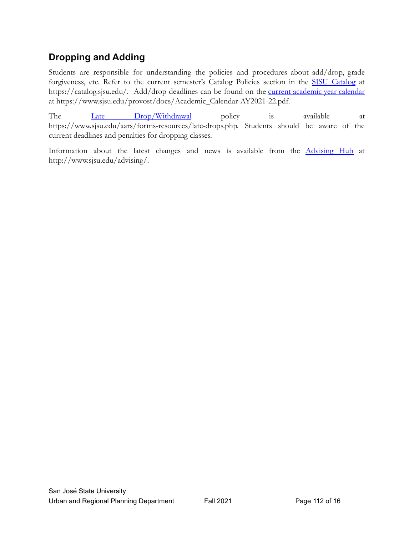### **Dropping and Adding**

Students are responsible for understanding the policies and procedures about add/drop, grade forgiveness, etc. Refer to the current semester's [Catalog](http://info.sjsu.edu/static/catalog/policies.html) Policies section in the SJSU [Catalog](https://catalog.sjsu.edu/) at [https://catalog.sjsu.edu/](https://catalog.sjsu.edu). Add/drop deadlines can be found on the *current [academic](https://www.sjsu.edu/provost/docs/Academic_Calendar-AY2021-22.pdf) year calendar* at [https://www.sjsu.edu/provost/docs/Academic\\_Calendar-AY2021-22.pdf.](https://www.sjsu.edu/provost/docs/Academic_Calendar-AY2021-22.pdf)

The Late [Drop/Withdrawal](https://www.sjsu.edu/aars/forms-resources/late-drops.php) policy is available at [https://www.sjsu.edu/aars/forms-resources/late-drops.php.](https://www.sjsu.edu/aars/forms-resources/late-drops.php) Students should be aware of the current deadlines and penalties for dropping classes.

Information about the latest changes and news is available from the [Advising](http://www.sjsu.edu/advising/) Hub at [http://www.sjsu.edu/advising/](http://www.sjsu.edu/advising).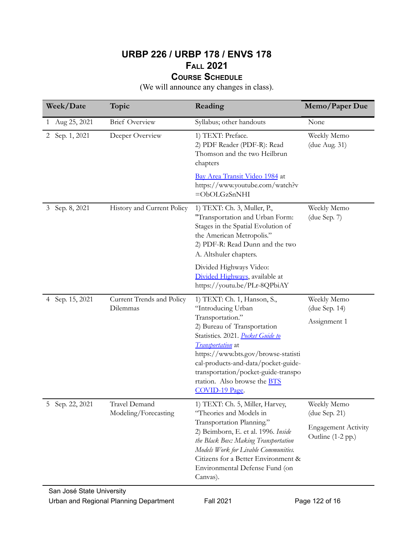#### **URBP 226 / URBP 178 / ENVS 178 FALL 2021 COURSE SCHEDULE**

(We will announce any changes in class).

| Week/Date                      | Topic                                        | Reading                                                                                                                                                                                                                                                                                                                                      | Memo/Paper Due                                                                  |
|--------------------------------|----------------------------------------------|----------------------------------------------------------------------------------------------------------------------------------------------------------------------------------------------------------------------------------------------------------------------------------------------------------------------------------------------|---------------------------------------------------------------------------------|
| Aug 25, 2021<br>1              | <b>Brief Overview</b>                        | Syllabus; other handouts                                                                                                                                                                                                                                                                                                                     | None                                                                            |
| Sep. 1, 2021<br>$\mathbf{2}^-$ | Deeper Overview                              | 1) TEXT: Preface.<br>2) PDF Reader (PDF-R): Read<br>Thomson and the two Heilbrun<br>chapters                                                                                                                                                                                                                                                 | Weekly Memo<br>(due Aug. 31)                                                    |
|                                |                                              | Bay Area Transit Video 1984 at<br>https://www.youtube.com/watch?v<br>$=$ ObOLGzSnNHI                                                                                                                                                                                                                                                         |                                                                                 |
| Sep. 8, 2021<br>3              | History and Current Policy                   | 1) TEXT: Ch. 3, Muller, P.,<br>"Transportation and Urban Form:<br>Stages in the Spatial Evolution of<br>the American Metropolis."<br>2) PDF-R: Read Dunn and the two<br>A. Altshuler chapters.                                                                                                                                               | Weekly Memo<br>(due Sep. 7)                                                     |
|                                |                                              | Divided Highways Video:<br>Divided Highways, available at<br>https://youtu.be/PLr-8QPbiAY                                                                                                                                                                                                                                                    |                                                                                 |
| 4 Sep. 15, 2021                | Current Trends and Policy<br>Dilemmas        | 1) TEXT: Ch. 1, Hanson, S.,<br>"Introducing Urban<br>Transportation."<br>2) Bureau of Transportation<br>Statistics. 2021. Pocket Guide to<br><i>Transportation</i> at<br>https://www.bts.gov/browse-statisti<br>cal-products-and-data/pocket-guide-<br>transportation/pocket-guide-transpo<br>rtation. Also browse the BTS<br>COVID-19 Page. | Weekly Memo<br>(due Sep. 14)<br>Assignment 1                                    |
| 5 Sep. 22, 2021                | <b>Travel Demand</b><br>Modeling/Forecasting | 1) TEXT: Ch. 5, Miller, Harvey,<br>"Theories and Models in<br>Transportation Planning."<br>2) Beimborn, E. et al. 1996. Inside<br>the Black Box: Making Transportation<br>Models Work for Livable Communities.<br>Citizens for a Better Environment &<br>Environmental Defense Fund (on<br>Canvas).                                          | Weekly Memo<br>(due Sep. 21)<br><b>Engagement Activity</b><br>Outline (1-2 pp.) |

Urban and Regional Planning Department Fall 2021 **Page 122 of 16**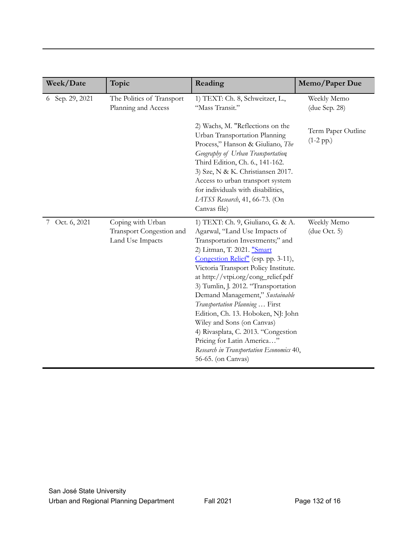| Week/Date          | Topic                                                             | Reading                                                                                                                                                                                                                                                                                                                                                                                                                                                                                                                                                                          | Memo/Paper Due                    |
|--------------------|-------------------------------------------------------------------|----------------------------------------------------------------------------------------------------------------------------------------------------------------------------------------------------------------------------------------------------------------------------------------------------------------------------------------------------------------------------------------------------------------------------------------------------------------------------------------------------------------------------------------------------------------------------------|-----------------------------------|
| Sep. 29, 2021<br>6 | The Politics of Transport<br>Planning and Access                  | 1) TEXT: Ch. 8, Schweitzer, L.,<br>"Mass Transit."                                                                                                                                                                                                                                                                                                                                                                                                                                                                                                                               | Weekly Memo<br>(due Sep. 28)      |
|                    |                                                                   | 2) Wachs, M. "Reflections on the<br>Urban Transportation Planning<br>Process," Hanson & Giuliano, The<br>Geography of Urban Transportation<br>Third Edition, Ch. 6., 141-162.<br>3) Sze, N & K. Christiansen 2017.<br>Access to urban transport system<br>for individuals with disabilities,<br>LATSS Research, 41, 66-73. (On<br>Canvas file)                                                                                                                                                                                                                                   | Term Paper Outline<br>$(1-2 pp.)$ |
| 7 Oct. 6, 2021     | Coping with Urban<br>Transport Congestion and<br>Land Use Impacts | 1) TEXT: Ch. 9, Giuliano, G. & A.<br>Agarwal, "Land Use Impacts of<br>Transportation Investments;" and<br>2) Litman, T. 2021. "Smart<br>Congestion Relief" (esp. pp. 3-11),<br>Victoria Transport Policy Institute.<br>at http://vtpi.org/cong_relief.pdf<br>3) Tumlin, J. 2012. "Transportation<br>Demand Management," Sustainable<br>Transportation Planning  First<br>Edition, Ch. 13. Hoboken, NJ: John<br>Wiley and Sons (on Canvas)<br>4) Rivasplata, C. 2013. "Congestion<br>Pricing for Latin America"<br>Research in Transportation Economics 40,<br>56-65. (on Canvas) | Weekly Memo<br>(due Oct. 5)       |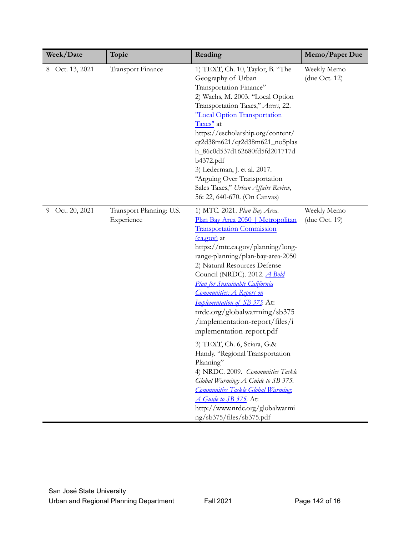| Week/Date       | Topic                                  | Reading                                                                                                                                                                                                                                                                                                                                                                                                                                                                                                                                                                                                                                                                                                                                                                   | Memo/Paper Due                  |
|-----------------|----------------------------------------|---------------------------------------------------------------------------------------------------------------------------------------------------------------------------------------------------------------------------------------------------------------------------------------------------------------------------------------------------------------------------------------------------------------------------------------------------------------------------------------------------------------------------------------------------------------------------------------------------------------------------------------------------------------------------------------------------------------------------------------------------------------------------|---------------------------------|
| 8 Oct. 13, 2021 | <b>Transport Finance</b>               | 1) TEXT, Ch. 10, Taylor, B. "The<br>Geography of Urban<br>Transportation Finance"<br>2) Wachs, M. 2003. "Local Option<br>Transportation Taxes," Access, 22.<br>"Local Option Transportation<br>Taxes" at<br>https://escholarship.org/content/<br>qt2d38m621/qt2d38m621_noSplas<br>h_86c0d537d162680fd5fd201717d<br>b4372.pdf<br>3) Lederman, J. et al. 2017.<br>"Arguing Over Transportation<br>Sales Taxes," Urban Affairs Review,<br>56: 22, 640-670. (On Canvas)                                                                                                                                                                                                                                                                                                       | Weekly Memo<br>(due Oct. $12$ ) |
| 9 Oct. 20, 2021 | Transport Planning: U.S.<br>Experience | 1) MTC. 2021. Plan Bay Area.<br>Plan Bay Area 2050   Metropolitan<br><b>Transportation Commission</b><br>(ca.gov) at<br>https://mtc.ca.gov/planning/long-<br>range-planning/plan-bay-area-2050<br>2) Natural Resources Defense<br>Council (NRDC). 2012. <i>A Bold</i><br>Plan for Sustainable California<br><b>Communities: A Report on</b><br>Implementation of SB 375 At:<br>nrdc.org/globalwarming/sb375<br>/implementation-report/files/i<br>mplementation-report.pdf<br>3) TEXT, Ch. 6, Sciara, G.&<br>Handy. "Regional Transportation<br>Planning"<br>4) NRDC. 2009. Communities Tackle<br>Global Warming: A Guide to SB 375.<br><b>Communities Tackle Global Warming:</b><br>A Guide to SB 375. At:<br>http://www.nrdc.org/globalwarmi<br>ng/sb375/files/sb375.pdf | Weekly Memo<br>(due Oct. 19)    |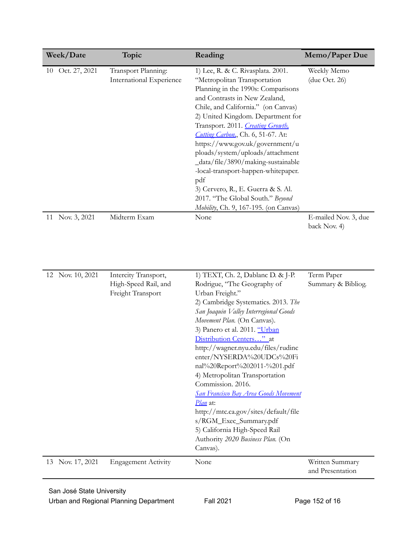| Week/Date           | Topic                    | Reading                                    | Memo/Paper Due       |
|---------------------|--------------------------|--------------------------------------------|----------------------|
| Oct. 27, 2021<br>10 | Transport Planning:      | 1) Lee, R. & C. Rivasplata. 2001.          | Weekly Memo          |
|                     | International Experience | "Metropolitan Transportation               | $($ due Oct. 26 $)$  |
|                     |                          | Planning in the 1990s: Comparisons         |                      |
|                     |                          | and Contrasts in New Zealand,              |                      |
|                     |                          | Chile, and California." (on Canvas)        |                      |
|                     |                          | 2) United Kingdom. Department for          |                      |
|                     |                          | Transport. 2011. Creating Growth,          |                      |
|                     |                          | <b>Cutting Carbon.</b> , Ch. 6, 51-67. At: |                      |
|                     |                          | https://www.gov.uk/government/u            |                      |
|                     |                          | ploads/system/uploads/attachment           |                      |
|                     |                          | _data/file/3890/making-sustainable         |                      |
|                     |                          | -local-transport-happen-whitepaper.        |                      |
|                     |                          | pdf                                        |                      |
|                     |                          | 3) Cervero, R., E. Guerra & S. Al.         |                      |
|                     |                          | 2017. "The Global South." Beyond           |                      |
|                     |                          | Mobility, Ch. 9, 167-195. (on Canvas)      |                      |
| Nov. 3, 2021<br>11  | Midterm Exam             | None                                       | E-mailed Nov. 3, due |
|                     |                          |                                            | back Nov. 4)         |

| 12 Nov. 10, 2021    | Intercity Transport,       | 1) TEXT, Ch. 2, Dablanc D. & J-P.            | Term Paper                          |
|---------------------|----------------------------|----------------------------------------------|-------------------------------------|
|                     | High-Speed Rail, and       | Rodrigue, "The Geography of                  | Summary & Bibliog.                  |
|                     | Freight Transport          | Urban Freight."                              |                                     |
|                     |                            | 2) Cambridge Systematics. 2013. The          |                                     |
|                     |                            | San Joaquin Valley Interregional Goods       |                                     |
|                     |                            | Movement Plan. (On Canvas).                  |                                     |
|                     |                            | 3) Panero et al. 2011. "Urban                |                                     |
|                     |                            | Distribution Centers" at                     |                                     |
|                     |                            | http://wagner.nyu.edu/files/rudinc           |                                     |
|                     |                            | enter/NYSERDA%20UDCs%20Fi                    |                                     |
|                     |                            | nal%20Report%202011-%201.pdf                 |                                     |
|                     |                            | 4) Metropolitan Transportation               |                                     |
|                     |                            | Commission. 2016.                            |                                     |
|                     |                            | <b>San Francisco Bay Area Goods Movement</b> |                                     |
|                     |                            | <i>Plan</i> at:                              |                                     |
|                     |                            | http://mtc.ca.gov/sites/default/file         |                                     |
|                     |                            | s/RGM_Exec_Summary.pdf                       |                                     |
|                     |                            | 5) California High-Speed Rail                |                                     |
|                     |                            | Authority 2020 Business Plan. (On            |                                     |
|                     |                            | Canvas).                                     |                                     |
| Nov. 17, 2021<br>13 | <b>Engagement Activity</b> | None                                         | Written Summary<br>and Presentation |